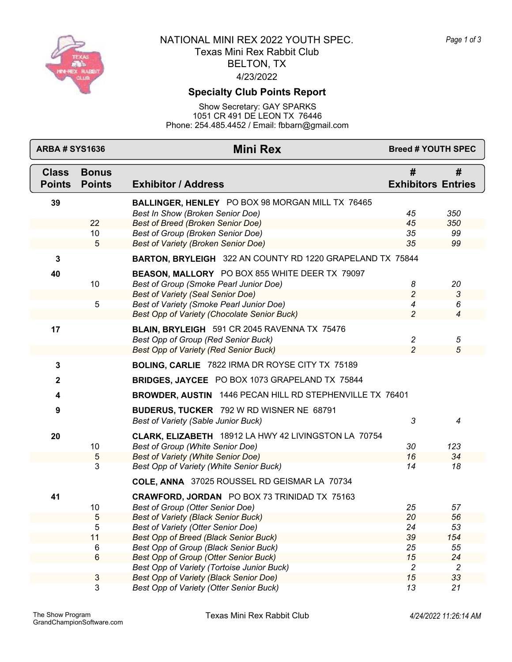

## 4/23/2022 BELTON, TX NATIONAL MINI REX 2022 YOUTH SPEC. Texas Mini Rex Rabbit Club

#### **Specialty Club Points Report**

Show Secretary: GAY SPARKS 1051 CR 491 DE LEON TX 76446 Phone: 254.485.4452 / Email: fbbarn@gmail.com

| #<br><b>Class</b><br>#<br><b>Bonus</b><br><b>Exhibitor / Address</b><br><b>Exhibitors Entries</b><br><b>Points</b><br><b>Points</b><br>39<br>BALLINGER, HENLEY PO BOX 98 MORGAN MILL TX 76465<br>Best In Show (Broken Senior Doe)<br>45<br>350<br>22<br><b>Best of Breed (Broken Senior Doe)</b><br>350<br>45<br>10<br>Best of Group (Broken Senior Doe)<br>35<br>99<br>Best of Variety (Broken Senior Doe)<br>35<br>99<br>5<br>BARTON, BRYLEIGH 322 AN COUNTY RD 1220 GRAPELAND TX 75844<br>$\mathbf{3}$<br>BEASON, MALLORY PO BOX 855 WHITE DEER TX 79097<br>40<br>10<br>Best of Group (Smoke Pearl Junior Doe)<br>20<br>8<br>$\overline{c}$<br><b>Best of Variety (Seal Senior Doe)</b><br>3<br>5<br>Best of Variety (Smoke Pearl Junior Doe)<br>4<br>6 |
|------------------------------------------------------------------------------------------------------------------------------------------------------------------------------------------------------------------------------------------------------------------------------------------------------------------------------------------------------------------------------------------------------------------------------------------------------------------------------------------------------------------------------------------------------------------------------------------------------------------------------------------------------------------------------------------------------------------------------------------------------------|
|                                                                                                                                                                                                                                                                                                                                                                                                                                                                                                                                                                                                                                                                                                                                                            |
|                                                                                                                                                                                                                                                                                                                                                                                                                                                                                                                                                                                                                                                                                                                                                            |
|                                                                                                                                                                                                                                                                                                                                                                                                                                                                                                                                                                                                                                                                                                                                                            |
|                                                                                                                                                                                                                                                                                                                                                                                                                                                                                                                                                                                                                                                                                                                                                            |
|                                                                                                                                                                                                                                                                                                                                                                                                                                                                                                                                                                                                                                                                                                                                                            |
|                                                                                                                                                                                                                                                                                                                                                                                                                                                                                                                                                                                                                                                                                                                                                            |
|                                                                                                                                                                                                                                                                                                                                                                                                                                                                                                                                                                                                                                                                                                                                                            |
|                                                                                                                                                                                                                                                                                                                                                                                                                                                                                                                                                                                                                                                                                                                                                            |
|                                                                                                                                                                                                                                                                                                                                                                                                                                                                                                                                                                                                                                                                                                                                                            |
|                                                                                                                                                                                                                                                                                                                                                                                                                                                                                                                                                                                                                                                                                                                                                            |
|                                                                                                                                                                                                                                                                                                                                                                                                                                                                                                                                                                                                                                                                                                                                                            |
| $\overline{c}$<br>Best Opp of Variety (Chocolate Senior Buck)<br>$\overline{4}$                                                                                                                                                                                                                                                                                                                                                                                                                                                                                                                                                                                                                                                                            |
| 17<br>BLAIN, BRYLEIGH 591 CR 2045 RAVENNA TX 75476                                                                                                                                                                                                                                                                                                                                                                                                                                                                                                                                                                                                                                                                                                         |
| $\overline{c}$<br>Best Opp of Group (Red Senior Buck)<br>5                                                                                                                                                                                                                                                                                                                                                                                                                                                                                                                                                                                                                                                                                                 |
| $\overline{c}$<br>Best Opp of Variety (Red Senior Buck)<br>5                                                                                                                                                                                                                                                                                                                                                                                                                                                                                                                                                                                                                                                                                               |
| $\mathbf 3$<br>BOLING, CARLIE 7822 IRMA DR ROYSE CITY TX 75189                                                                                                                                                                                                                                                                                                                                                                                                                                                                                                                                                                                                                                                                                             |
| BRIDGES, JAYCEE PO BOX 1073 GRAPELAND TX 75844<br>$\mathbf{2}$                                                                                                                                                                                                                                                                                                                                                                                                                                                                                                                                                                                                                                                                                             |
| BROWDER, AUSTIN 1446 PECAN HILL RD STEPHENVILLE TX 76401<br>4                                                                                                                                                                                                                                                                                                                                                                                                                                                                                                                                                                                                                                                                                              |
| BUDERUS, TUCKER 792 W RD WISNER NE 68791<br>$\boldsymbol{9}$                                                                                                                                                                                                                                                                                                                                                                                                                                                                                                                                                                                                                                                                                               |
| 3<br><b>Best of Variety (Sable Junior Buck)</b><br>4                                                                                                                                                                                                                                                                                                                                                                                                                                                                                                                                                                                                                                                                                                       |
| 20<br>CLARK, ELIZABETH 18912 LA HWY 42 LIVINGSTON LA 70754                                                                                                                                                                                                                                                                                                                                                                                                                                                                                                                                                                                                                                                                                                 |
| Best of Group (White Senior Doe)<br>30<br>10<br>123                                                                                                                                                                                                                                                                                                                                                                                                                                                                                                                                                                                                                                                                                                        |
| <b>Best of Variety (White Senior Doe)</b><br>16<br>34<br>5                                                                                                                                                                                                                                                                                                                                                                                                                                                                                                                                                                                                                                                                                                 |
| $\overline{3}$<br>Best Opp of Variety (White Senior Buck)<br>14<br>18                                                                                                                                                                                                                                                                                                                                                                                                                                                                                                                                                                                                                                                                                      |
| COLE, ANNA 37025 ROUSSEL RD GEISMAR LA 70734                                                                                                                                                                                                                                                                                                                                                                                                                                                                                                                                                                                                                                                                                                               |
| CRAWFORD, JORDAN PO BOX 73 TRINIDAD TX 75163<br>41                                                                                                                                                                                                                                                                                                                                                                                                                                                                                                                                                                                                                                                                                                         |
| 10<br>Best of Group (Otter Senior Doe)<br>25<br>57                                                                                                                                                                                                                                                                                                                                                                                                                                                                                                                                                                                                                                                                                                         |
| <b>Best of Variety (Black Senior Buck)</b><br>20<br>56<br>$\ddot{\circ}$                                                                                                                                                                                                                                                                                                                                                                                                                                                                                                                                                                                                                                                                                   |
| 5<br>24<br>53<br>Best of Variety (Otter Senior Doe)                                                                                                                                                                                                                                                                                                                                                                                                                                                                                                                                                                                                                                                                                                        |
| 39<br>11<br><b>Best Opp of Breed (Black Senior Buck)</b><br>154                                                                                                                                                                                                                                                                                                                                                                                                                                                                                                                                                                                                                                                                                            |
| Best Opp of Group (Black Senior Buck)<br>25<br>55<br>6                                                                                                                                                                                                                                                                                                                                                                                                                                                                                                                                                                                                                                                                                                     |
| 6<br>15<br>24<br>Best Opp of Group (Otter Senior Buck)                                                                                                                                                                                                                                                                                                                                                                                                                                                                                                                                                                                                                                                                                                     |
| Best Opp of Variety (Tortoise Junior Buck)<br>$\overline{c}$<br>$\overline{c}$<br>15<br>33<br>Best Opp of Variety (Black Senior Doe)                                                                                                                                                                                                                                                                                                                                                                                                                                                                                                                                                                                                                       |
| 3<br>3<br>13<br>21<br>Best Opp of Variety (Otter Senior Buck)                                                                                                                                                                                                                                                                                                                                                                                                                                                                                                                                                                                                                                                                                              |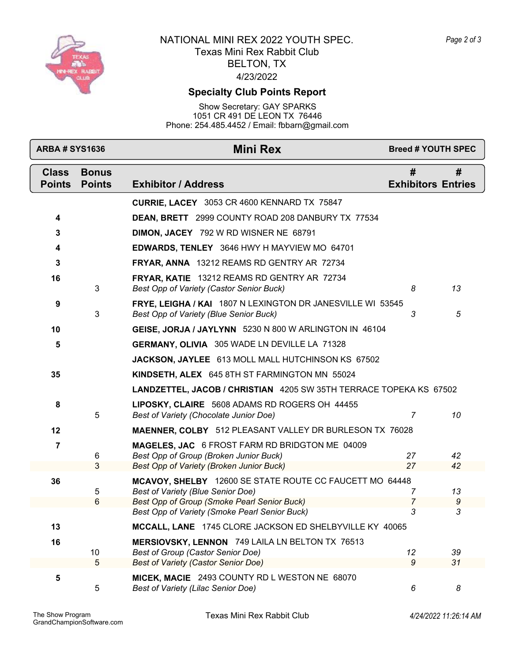

## 4/23/2022 BELTON, TX NATIONAL MINI REX 2022 YOUTH SPEC. Texas Mini Rex Rabbit Club

# **Specialty Club Points Report**

Show Secretary: GAY SPARKS 1051 CR 491 DE LEON TX 76446 Phone: 254.485.4452 / Email: fbbarn@gmail.com

| <b>ARBA # SYS1636</b>         |                               | <b>Mini Rex</b>                                                                                      | <b>Breed # YOUTH SPEC</b>      |        |
|-------------------------------|-------------------------------|------------------------------------------------------------------------------------------------------|--------------------------------|--------|
| <b>Class</b><br><b>Points</b> | <b>Bonus</b><br><b>Points</b> | <b>Exhibitor / Address</b>                                                                           | #<br><b>Exhibitors Entries</b> | #      |
|                               |                               | <b>CURRIE, LACEY</b> 3053 CR 4600 KENNARD TX 75847                                                   |                                |        |
| 4                             |                               | DEAN, BRETT 2999 COUNTY ROAD 208 DANBURY TX 77534                                                    |                                |        |
| 3                             |                               | DIMON, JACEY 792 W RD WISNER NE 68791                                                                |                                |        |
| 4                             |                               | EDWARDS, TENLEY 3646 HWY H MAYVIEW MO 64701                                                          |                                |        |
| 3                             |                               | FRYAR, ANNA 13212 REAMS RD GENTRY AR 72734                                                           |                                |        |
| 16                            | 3                             | FRYAR, KATIE 13212 REAMS RD GENTRY AR 72734<br><b>Best Opp of Variety (Castor Senior Buck)</b>       | 8                              | 13     |
| 9                             | 3                             | FRYE, LEIGHA / KAI 1807 N LEXINGTON DR JANESVILLE WI 53545<br>Best Opp of Variety (Blue Senior Buck) | 3                              | 5      |
| 10                            |                               | GEISE, JORJA / JAYLYNN 5230 N 800 W ARLINGTON IN 46104                                               |                                |        |
| 5                             |                               | <b>GERMANY, OLIVIA</b> 305 WADE LN DEVILLE LA 71328                                                  |                                |        |
|                               |                               | JACKSON, JAYLEE 613 MOLL MALL HUTCHINSON KS 67502                                                    |                                |        |
| 35                            |                               | KINDSETH, ALEX 645 8TH ST FARMINGTON MN 55024                                                        |                                |        |
|                               |                               | LANDZETTEL, JACOB / CHRISTIAN 4205 SW 35TH TERRACE TOPEKA KS 67502                                   |                                |        |
| 8                             | 5                             | LIPOSKY, CLAIRE 5608 ADAMS RD ROGERS OH 44455<br>Best of Variety (Chocolate Junior Doe)              | $\overline{7}$                 | 10     |
| 12                            |                               | <b>MAENNER, COLBY</b> 512 PLEASANT VALLEY DR BURLESON TX 76028                                       |                                |        |
| 7                             | 6                             | MAGELES, JAC 6 FROST FARM RD BRIDGTON ME 04009<br>Best Opp of Group (Broken Junior Buck)             | 27                             | 42     |
|                               | 3                             | Best Opp of Variety (Broken Junior Buck)                                                             | 27                             | 42     |
| 36                            | 5                             | MCAVOY, SHELBY 12600 SE STATE ROUTE CC FAUCETT MO 64448<br><b>Best of Variety (Blue Senior Doe)</b>  | 7                              | 13     |
|                               | 6                             | Best Opp of Group (Smoke Pearl Senior Buck)<br>Best Opp of Variety (Smoke Pearl Senior Buck)         | 7<br>3                         | 9<br>3 |
| 13                            |                               | MCCALL, LANE 1745 CLORE JACKSON ED SHELBYVILLE KY 40065                                              |                                |        |
| 16                            |                               | MERSIOVSKY, LENNON 749 LAILA LN BELTON TX 76513                                                      |                                |        |
|                               | 10                            | <b>Best of Group (Castor Senior Doe)</b>                                                             | 12                             | 39     |
|                               | 5                             | <b>Best of Variety (Castor Senior Doe)</b>                                                           | 9                              | 31     |
| 5                             | 5                             | MICEK, MACIE 2493 COUNTY RD L WESTON NE 68070<br>Best of Variety (Lilac Senior Doe)                  | 6                              | 8      |